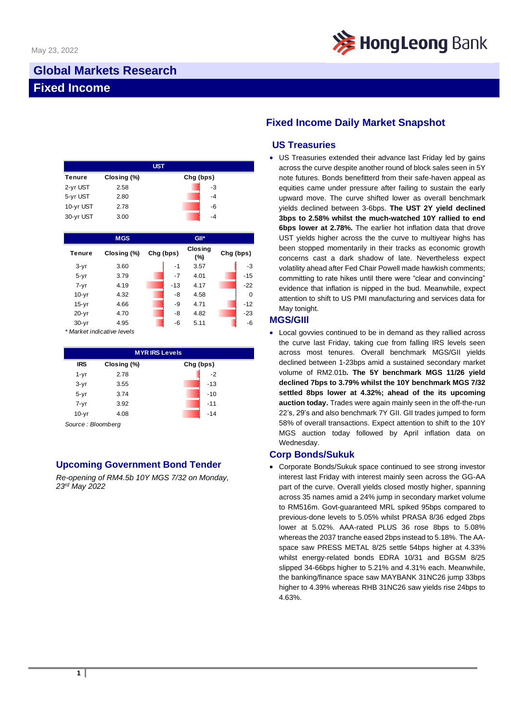

# **Global Markets Research Fixed Income**

| <b>UST</b> |             |           |    |  |  |  |
|------------|-------------|-----------|----|--|--|--|
| Tenure     | Closing (%) | Chg (bps) |    |  |  |  |
| 2-yr UST   | 2.58        |           | -3 |  |  |  |
| 5-yr UST   | 2.80        |           | -4 |  |  |  |
| 10-yr UST  | 2.78        |           | -6 |  |  |  |
| 30-yr UST  | 3.00        |           | -4 |  |  |  |

|               | <b>MGS</b>  |           | GII*                  |           |
|---------------|-------------|-----------|-----------------------|-----------|
| <b>Tenure</b> | Closing (%) | Chg (bps) | <b>Closing</b><br>(%) | Chg (bps) |
| $3-yr$        | 3.60        | -1        | 3.57                  | $-3$      |
| $5 - yr$      | 3.79        | -7        | 4.01                  | $-15$     |
| $7 - yr$      | 4.19        | $-13$     | 4.17                  | $-22$     |
| $10-yr$       | 4.32        | -8        | 4.58                  | $\Omega$  |
| $15-yr$       | 4.66        | -9        | 4.71                  | $-12$     |
| $20 - yr$     | 4.70        | -8        | 4.82                  | $-23$     |
| $30-yr$       | 4.95        | -6        | 5.11                  | -6        |

*\* Market indicative levels*

| <b>IRS</b> | Closing (%) | Chg (bps) |  |
|------------|-------------|-----------|--|
| $1 - yr$   | 2.78        | $-2$      |  |
| $3-yr$     | 3.55        | $-13$     |  |
| $5 - yr$   | 3.74        | $-10$     |  |
| $7 - yr$   | 3.92        | $-11$     |  |
| $10-yr$    | 4.08        | $-14$     |  |

*Source : Bloomberg*

## **Upcoming Government Bond Tender**

*Re-opening of RM4.5b 10Y MGS 7/32 on Monday, 23rd May 2022*

# **Fixed Income Daily Market Snapshot**

### **US Treasuries**

• US Treasuries extended their advance last Friday led by gains across the curve despite another round of block sales seen in 5Y note futures. Bonds benefitterd from their safe-haven appeal as equities came under pressure after failing to sustain the early upward move. The curve shifted lower as overall benchmark yields declined between 3-6bps. **The UST 2Y yield declined 3bps to 2.58% whilst the much-watched 10Y rallied to end 6bps lower at 2.78%.** The earlier hot inflation data that drove UST yields higher across the the curve to multiyear highs has been stopped momentarily in their tracks as economic growth concerns cast a dark shadow of late. Nevertheless expect volatility ahead after Fed Chair Powell made hawkish comments; committing to rate hikes until there were "clear and convincing" evidence that inflation is nipped in the bud. Meanwhile, expect attention to shift to US PMI manufacturing and services data for May tonight.

### **MGS/GIIl**

• Local govvies continued to be in demand as they rallied across the curve last Friday, taking cue from falling IRS levels seen across most tenures. Overall benchmark MGS/GII yields declined between 1-23bps amid a sustained secondary market volume of RM2.01b**. The 5Y benchmark MGS 11/26 yield declined 7bps to 3.79% whilst the 10Y benchmark MGS 7/32 settled 8bps lower at 4.32%; ahead of the its upcoming auction today.** Trades were again mainly seen in the off-the-run 22's, 29's and also benchmark 7Y GII. GII trades jumped to form 58% of overall transactions. Expect attention to shift to the 10Y MGS auction today followed by April inflation data on Wednesday.

### **Corp Bonds/Sukuk**

• Corporate Bonds/Sukuk space continued to see strong investor interest last Friday with interest mainly seen across the GG-AA part of the curve. Overall yields closed mostly higher, spanning across 35 names amid a 24% jump in secondary market volume to RM516m. Govt-guaranteed MRL spiked 95bps compared to previous-done levels to 5.05% whilst PRASA 8/36 edged 2bps lower at 5.02%. AAA-rated PLUS 36 rose 8bps to 5.08% whereas the 2037 tranche eased 2bps instead to 5.18%. The AAspace saw PRESS METAL 8/25 settle 54bps higher at 4.33% whilst energy-related bonds EDRA 10/31 and BGSM 8/25 slipped 34-66bps higher to 5.21% and 4.31% each. Meanwhile, the banking/finance space saw MAYBANK 31NC26 jump 33bps higher to 4.39% whereas RHB 31NC26 saw yields rise 24bps to 4.63%.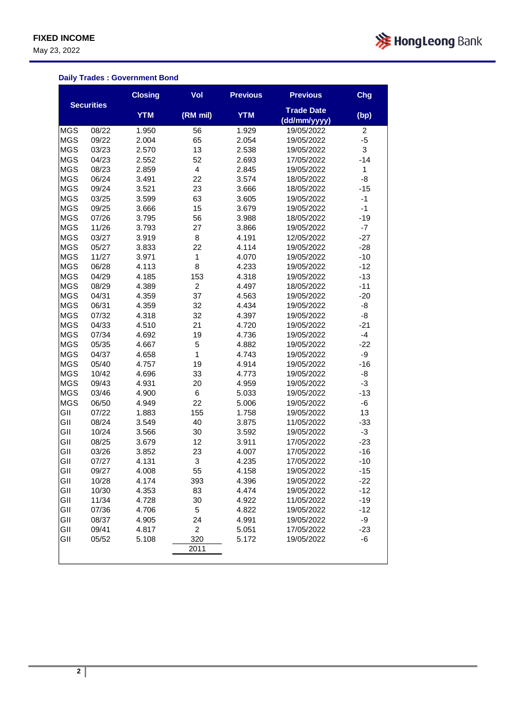May 23, 2022



#### **Daily Trades : Government Bond**

|            |                   | <b>Closing</b> | Vol            | <b>Previous</b> | <b>Previous</b>                   | Chg   |
|------------|-------------------|----------------|----------------|-----------------|-----------------------------------|-------|
|            | <b>Securities</b> | <b>YTM</b>     | (RM mil)       | <b>YTM</b>      | <b>Trade Date</b><br>(dd/mm/yyyy) | (bp)  |
| <b>MGS</b> | 08/22             | 1.950          | 56             | 1.929           | 19/05/2022                        | 2     |
| <b>MGS</b> | 09/22             | 2.004          | 65             | 2.054           | 19/05/2022                        | $-5$  |
| <b>MGS</b> | 03/23             | 2.570          | 13             | 2.538           | 19/05/2022                        | 3     |
| <b>MGS</b> | 04/23             | 2.552          | 52             | 2.693           | 17/05/2022                        | $-14$ |
| <b>MGS</b> | 08/23             | 2.859          | $\overline{4}$ | 2.845           | 19/05/2022                        | 1     |
| <b>MGS</b> | 06/24             | 3.491          | 22             | 3.574           | 18/05/2022                        | -8    |
| <b>MGS</b> | 09/24             | 3.521          | 23             | 3.666           | 18/05/2022                        | $-15$ |
| <b>MGS</b> | 03/25             | 3.599          | 63             | 3.605           | 19/05/2022                        | $-1$  |
| <b>MGS</b> | 09/25             | 3.666          | 15             | 3.679           | 19/05/2022                        | $-1$  |
| <b>MGS</b> | 07/26             | 3.795          | 56             | 3.988           | 18/05/2022                        | $-19$ |
| <b>MGS</b> | 11/26             | 3.793          | 27             | 3.866           | 19/05/2022                        | $-7$  |
| <b>MGS</b> | 03/27             | 3.919          | 8              | 4.191           | 12/05/2022                        | $-27$ |
| <b>MGS</b> | 05/27             | 3.833          | 22             | 4.114           | 19/05/2022                        | $-28$ |
| <b>MGS</b> | 11/27             | 3.971          | 1              | 4.070           | 19/05/2022                        | $-10$ |
| <b>MGS</b> | 06/28             | 4.113          | 8              | 4.233           | 19/05/2022                        | $-12$ |
| <b>MGS</b> | 04/29             | 4.185          | 153            | 4.318           | 19/05/2022                        | $-13$ |
| <b>MGS</b> | 08/29             | 4.389          | $\overline{2}$ | 4.497           | 18/05/2022                        | $-11$ |
| <b>MGS</b> | 04/31             | 4.359          | 37             | 4.563           | 19/05/2022                        | $-20$ |
| <b>MGS</b> | 06/31             | 4.359          | 32             | 4.434           | 19/05/2022                        | -8    |
| <b>MGS</b> | 07/32             | 4.318          | 32             | 4.397           | 19/05/2022                        | -8    |
| <b>MGS</b> | 04/33             | 4.510          | 21             | 4.720           | 19/05/2022                        | $-21$ |
| <b>MGS</b> | 07/34             | 4.692          | 19             | 4.736           | 19/05/2022                        | $-4$  |
| <b>MGS</b> | 05/35             | 4.667          | 5              | 4.882           | 19/05/2022                        | $-22$ |
| <b>MGS</b> | 04/37             | 4.658          | 1              | 4.743           | 19/05/2022                        | -9    |
| <b>MGS</b> | 05/40             | 4.757          | 19             | 4.914           | 19/05/2022                        | $-16$ |
| <b>MGS</b> | 10/42             | 4.696          | 33             | 4.773           | 19/05/2022                        | -8    |
| <b>MGS</b> | 09/43             | 4.931          | 20             | 4.959           | 19/05/2022                        | -3    |
| <b>MGS</b> | 03/46             | 4.900          | 6              | 5.033           | 19/05/2022                        | $-13$ |
| <b>MGS</b> | 06/50             | 4.949          | 22             | 5.006           | 19/05/2022                        | -6    |
| GII        | 07/22             | 1.883          | 155            | 1.758           | 19/05/2022                        | 13    |
| GII        | 08/24             | 3.549          | 40             | 3.875           | 11/05/2022                        | $-33$ |
| GII        | 10/24             | 3.566          | 30             | 3.592           | 19/05/2022                        | $-3$  |
| GII        | 08/25             | 3.679          | 12             | 3.911           | 17/05/2022                        | $-23$ |
| GII        | 03/26             | 3.852          | 23             | 4.007           | 17/05/2022                        | $-16$ |
| GII        | 07/27             | 4.131          | 3              | 4.235           | 17/05/2022                        | $-10$ |
| GII        | 09/27             | 4.008          | 55             | 4.158           | 19/05/2022                        | $-15$ |
| GII        | 10/28             | 4.174          | 393            | 4.396           | 19/05/2022                        | $-22$ |
| GII        | 10/30             | 4.353          | 83             | 4.474           | 19/05/2022                        | $-12$ |
| GII        | 11/34             | 4.728          | 30             | 4.922           | 11/05/2022                        | $-19$ |
| GII        | 07/36             | 4.706          | 5              | 4.822           | 19/05/2022                        | $-12$ |
| GII        | 08/37             | 4.905          | 24             | 4.991           | 19/05/2022                        | $-9$  |
| GII        | 09/41             | 4.817          | $\overline{c}$ | 5.051           | 17/05/2022                        | $-23$ |
| GII        | 05/52             | 5.108          | 320            | 5.172           | 19/05/2022                        | -6    |
|            |                   |                | 2011           |                 |                                   |       |
|            |                   |                |                |                 |                                   |       |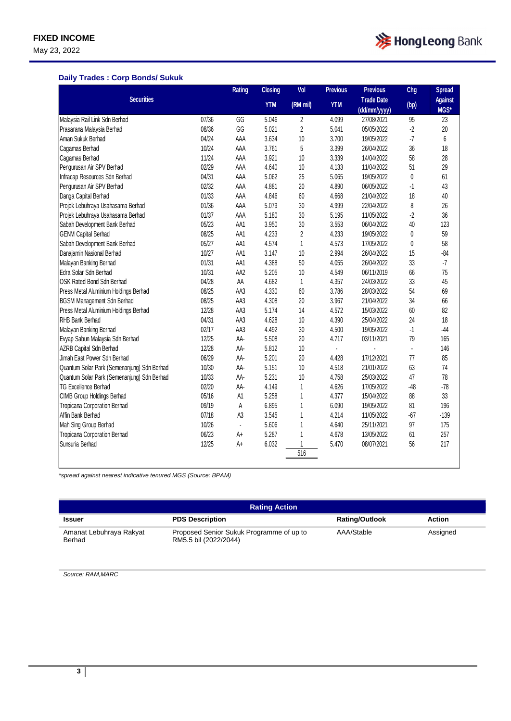May 23, 2022



### **Daily Trades : Corp Bonds/ Sukuk**

|                                             |       | <b>Rating</b>  | <b>Closing</b> | Vol            | <b>Previous</b> | <b>Previous</b>   | Chg          | <b>Spread</b>  |
|---------------------------------------------|-------|----------------|----------------|----------------|-----------------|-------------------|--------------|----------------|
| <b>Securities</b>                           |       |                | <b>YTM</b>     | (RM mil)       | <b>YTM</b>      | <b>Trade Date</b> | (bp)         | <b>Against</b> |
|                                             |       |                |                |                |                 | (dd/mm/yyyy)      |              | MGS*           |
| Malaysia Rail Link Sdn Berhad               | 07/36 | GG             | 5.046          | $\overline{c}$ | 4.099           | 27/08/2021        | 95           | 23             |
| Prasarana Malaysia Berhad                   | 08/36 | GG             | 5.021          | $\overline{c}$ | 5.041           | 05/05/2022        | $-2$         | 20             |
| Aman Sukuk Berhad                           | 04/24 | AAA            | 3.634          | 10             | 3.700           | 19/05/2022        | $-7$         | 6              |
| Cagamas Berhad                              | 10/24 | AAA            | 3.761          | 5              | 3.399           | 26/04/2022        | 36           | 18             |
| Cagamas Berhad                              | 11/24 | AAA            | 3.921          | 10             | 3.339           | 14/04/2022        | 58           | 28             |
| Pengurusan Air SPV Berhad                   | 02/29 | AAA            | 4.640          | 10             | 4.133           | 11/04/2022        | 51           | 29             |
| Infracap Resources Sdn Berhad               | 04/31 | AAA            | 5.062          | 25             | 5.065           | 19/05/2022        | $\mathbf{0}$ | 61             |
| Pengurusan Air SPV Berhad                   | 02/32 | AAA            | 4.881          | 20             | 4.890           | 06/05/2022        | $-1$         | 43             |
| Danga Capital Berhad                        | 01/33 | AAA            | 4.846          | 60             | 4.668           | 21/04/2022        | 18           | 40             |
| Projek Lebuhraya Usahasama Berhad           | 01/36 | AAA            | 5.079          | 30             | 4.999           | 22/04/2022        | 8            | 26             |
| Projek Lebuhraya Usahasama Berhad           | 01/37 | AAA            | 5.180          | 30             | 5.195           | 11/05/2022        | $-2$         | 36             |
| Sabah Development Bank Berhad               | 05/23 | AA1            | 3.950          | 30             | 3.553           | 06/04/2022        | 40           | 123            |
| <b>GENM Capital Berhad</b>                  | 08/25 | AA1            | 4.233          | $\overline{c}$ | 4.233           | 19/05/2022        | 0            | 59             |
| Sabah Development Bank Berhad               | 05/27 | AA1            | 4.574          | $\mathbf{1}$   | 4.573           | 17/05/2022        | 0            | 58             |
| Danajamin Nasional Berhad                   | 10/27 | AA1            | 3.147          | 10             | 2.994           | 26/04/2022        | 15           | $-84$          |
| Malayan Banking Berhad                      | 01/31 | AA1            | 4.388          | 50             | 4.055           | 26/04/2022        | 33           | $\cdot 7$      |
| Edra Solar Sdn Berhad                       | 10/31 | AA2            | 5.205          | 10             | 4.549           | 06/11/2019        | 66           | 75             |
| OSK Rated Bond Sdn Berhad                   | 04/28 | AA             | 4.682          | $\mathbf{1}$   | 4.357           | 24/03/2022        | 33           | 45             |
| Press Metal Aluminium Holdings Berhad       | 08/25 | AA3            | 4.330          | 60             | 3.786           | 28/03/2022        | 54           | 69             |
| <b>BGSM Management Sdn Berhad</b>           | 08/25 | AA3            | 4.308          | 20             | 3.967           | 21/04/2022        | 34           | 66             |
| Press Metal Aluminium Holdings Berhad       | 12/28 | AA3            | 5.174          | 14             | 4.572           | 15/03/2022        | 60           | 82             |
| RHB Bank Berhad                             | 04/31 | AA3            | 4.628          | 10             | 4.390           | 25/04/2022        | 24           | 18             |
| Malayan Banking Berhad                      | 02/17 | AA3            | 4.492          | 30             | 4.500           | 19/05/2022        | $-1$         | $-44$          |
| Evyap Sabun Malaysia Sdn Berhad             | 12/25 | AA-            | 5.508          | 20             | 4.717           | 03/11/2021        | 79           | 165            |
| AZRB Capital Sdn Berhad                     | 12/28 | AA-            | 5.812          | 10             | ä,              |                   | l,           | 146            |
| Jimah East Power Sdn Berhad                 | 06/29 | AA-            | 5.201          | 20             | 4.428           | 17/12/2021        | 77           | 85             |
| Quantum Solar Park (Semenanjung) Sdn Berhad | 10/30 | AA-            | 5.151          | 10             | 4.518           | 21/01/2022        | 63           | 74             |
| Quantum Solar Park (Semenanjung) Sdn Berhad | 10/33 | AA-            | 5.231          | 10             | 4.758           | 25/03/2022        | 47           | 78             |
| <b>TG Excellence Berhad</b>                 | 02/20 | AA-            | 4.149          | $\mathbf{1}$   | 4.626           | 17/05/2022        | $-48$        | $-78$          |
| <b>CIMB Group Holdings Berhad</b>           | 05/16 | A <sub>1</sub> | 5.258          | $\mathbf{1}$   | 4.377           | 15/04/2022        | 88           | 33             |
| Tropicana Corporation Berhad                | 09/19 | A              | 6.895          | $\mathbf{1}$   | 6.090           | 19/05/2022        | 81           | 196            |
| Affin Bank Berhad                           | 07/18 | A <sub>3</sub> | 3.545          | $\mathbf{1}$   | 4.214           | 11/05/2022        | $-67$        | $-139$         |
| Mah Sing Group Berhad                       | 10/26 | $\blacksquare$ | 5.606          | $\mathbf{1}$   | 4.640           | 25/11/2021        | 97           | 175            |
| Tropicana Corporation Berhad                | 06/23 | A+             | 5.287          | 1              | 4.678           | 13/05/2022        | 61           | 257            |
| Sunsuria Berhad                             | 12/25 | A+             | 6.032          | 1              | 5.470           | 08/07/2021        | 56           | 217            |
|                                             |       |                |                | 516            |                 |                   |              |                |
|                                             |       |                |                |                |                 |                   |              |                |

*\*spread against nearest indicative tenured MGS (Source: BPAM)*

| <b>Rating Action</b>              |                                                                   |                       |          |  |  |  |
|-----------------------------------|-------------------------------------------------------------------|-----------------------|----------|--|--|--|
| <b>Issuer</b>                     | <b>PDS Description</b>                                            | <b>Rating/Outlook</b> | Action   |  |  |  |
| Amanat Lebuhraya Rakyat<br>Berhad | Proposed Senior Sukuk Programme of up to<br>RM5.5 bil (2022/2044) | AAA/Stable            | Assigned |  |  |  |

*Source: RAM,MARC*